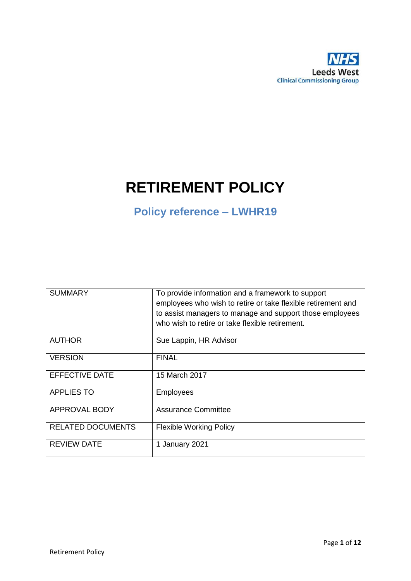

# **RETIREMENT POLICY**

**Policy reference – LWHR19**

| <b>SUMMARY</b>           | To provide information and a framework to support<br>employees who wish to retire or take flexible retirement and<br>to assist managers to manage and support those employees<br>who wish to retire or take flexible retirement. |
|--------------------------|----------------------------------------------------------------------------------------------------------------------------------------------------------------------------------------------------------------------------------|
| <b>AUTHOR</b>            | Sue Lappin, HR Advisor                                                                                                                                                                                                           |
| <b>VERSION</b>           | <b>FINAL</b>                                                                                                                                                                                                                     |
| EFFECTIVE DATE           | 15 March 2017                                                                                                                                                                                                                    |
| <b>APPLIES TO</b>        | <b>Employees</b>                                                                                                                                                                                                                 |
| <b>APPROVAL BODY</b>     | <b>Assurance Committee</b>                                                                                                                                                                                                       |
| <b>RELATED DOCUMENTS</b> | <b>Flexible Working Policy</b>                                                                                                                                                                                                   |
| <b>REVIEW DATE</b>       | 1 January 2021                                                                                                                                                                                                                   |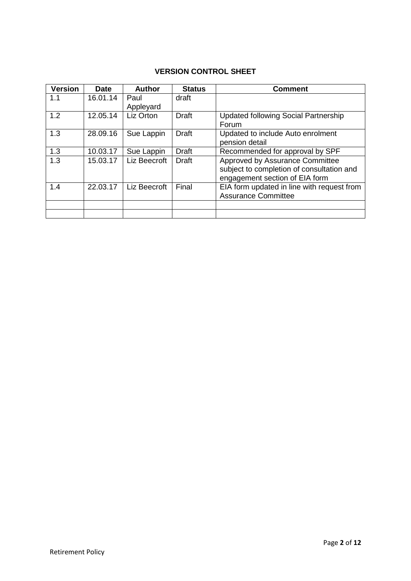## **VERSION CONTROL SHEET**

| <b>Version</b> | <b>Date</b> | <b>Author</b>     | <b>Status</b> | <b>Comment</b>                                                                                                 |
|----------------|-------------|-------------------|---------------|----------------------------------------------------------------------------------------------------------------|
| 1.1            | 16.01.14    | Paul<br>Appleyard | draft         |                                                                                                                |
| 1.2            | 12.05.14    | Liz Orton         | <b>Draft</b>  | <b>Updated following Social Partnership</b><br>Forum                                                           |
| 1.3            | 28.09.16    | Sue Lappin        | <b>Draft</b>  | Updated to include Auto enrolment<br>pension detail                                                            |
| 1.3            | 10.03.17    | Sue Lappin        | <b>Draft</b>  | Recommended for approval by SPF                                                                                |
| 1.3            | 15.03.17    | Liz Beecroft      | <b>Draft</b>  | Approved by Assurance Committee<br>subject to completion of consultation and<br>engagement section of EIA form |
| 1.4            | 22.03.17    | Liz Beecroft      | Final         | EIA form updated in line with request from<br><b>Assurance Committee</b>                                       |
|                |             |                   |               |                                                                                                                |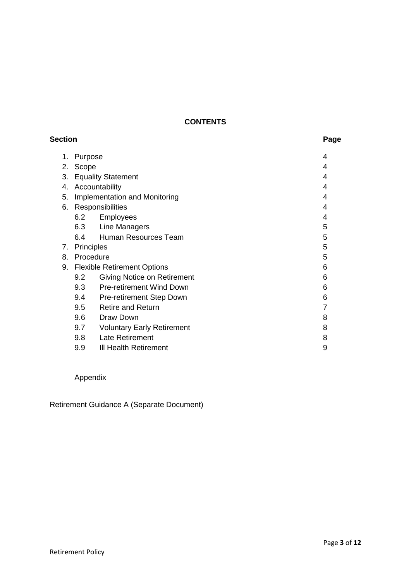## **CONTENTS**

| Section |         |                                    | Page |
|---------|---------|------------------------------------|------|
| 1.      | Purpose |                                    | 4    |
| 2.      | Scope   |                                    | 4    |
| 3.      |         | <b>Equality Statement</b>          | 4    |
| 4.      |         | Accountability                     | 4    |
| 5.      |         | Implementation and Monitoring      | 4    |
| 6.      |         | Responsibilities                   | 4    |
|         | 6.2     | <b>Employees</b>                   | 4    |
|         |         | 6.3 Line Managers                  | 5    |
|         | 6.4     | Human Resources Team               | 5    |
| 7.      |         | Principles                         | 5    |
| 8.      |         | Procedure                          | 5    |
| 9.      |         | <b>Flexible Retirement Options</b> | 6    |
|         | 9.2     | <b>Giving Notice on Retirement</b> | 6    |
|         | 9.3     | <b>Pre-retirement Wind Down</b>    | 6    |
|         | 9.4     | Pre-retirement Step Down           | 6    |
|         | 9.5     | <b>Retire and Return</b>           | 7    |
|         | 9.6     | Draw Down                          | 8    |
|         | 9.7     | <b>Voluntary Early Retirement</b>  | 8    |
|         | 9.8     | Late Retirement                    | 8    |
|         | 9.9     | III Health Retirement              | 9    |

## Appendix

Retirement Guidance A (Separate Document)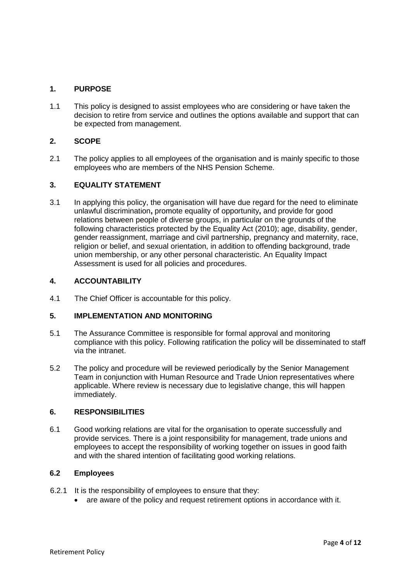## **1. PURPOSE**

1.1 This policy is designed to assist employees who are considering or have taken the decision to retire from service and outlines the options available and support that can be expected from management.

## **2. SCOPE**

2.1 The policy applies to all employees of the organisation and is mainly specific to those employees who are members of the NHS Pension Scheme.

## **3. EQUALITY STATEMENT**

3.1 In applying this policy, the organisation will have due regard for the need to eliminate unlawful discrimination**,** promote equality of opportunity**,** and provide for good relations between people of diverse groups, in particular on the grounds of the following characteristics protected by the Equality Act (2010); age, disability, gender, gender reassignment, marriage and civil partnership, pregnancy and maternity, race, religion or belief, and sexual orientation, in addition to offending background, trade union membership, or any other personal characteristic. An Equality Impact Assessment is used for all policies and procedures.

## **4. ACCOUNTABILITY**

4.1 The Chief Officer is accountable for this policy.

## **5. IMPLEMENTATION AND MONITORING**

- 5.1 The Assurance Committee is responsible for formal approval and monitoring compliance with this policy. Following ratification the policy will be disseminated to staff via the intranet.
- 5.2 The policy and procedure will be reviewed periodically by the Senior Management Team in conjunction with Human Resource and Trade Union representatives where applicable. Where review is necessary due to legislative change, this will happen immediately.

## **6. RESPONSIBILITIES**

6.1 Good working relations are vital for the organisation to operate successfully and provide services. There is a joint responsibility for management, trade unions and employees to accept the responsibility of working together on issues in good faith and with the shared intention of facilitating good working relations.

#### **6.2 Employees**

- 6.2.1 It is the responsibility of employees to ensure that they:
	- are aware of the policy and request retirement options in accordance with it.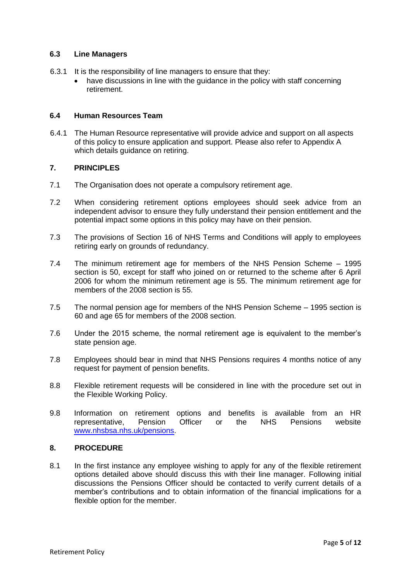#### **6.3 Line Managers**

- 6.3.1 It is the responsibility of line managers to ensure that they:
	- have discussions in line with the guidance in the policy with staff concerning retirement.

#### **6.4 Human Resources Team**

6.4.1 The Human Resource representative will provide advice and support on all aspects of this policy to ensure application and support. Please also refer to Appendix A which details guidance on retiring.

#### **7. PRINCIPLES**

- 7.1 The Organisation does not operate a compulsory retirement age.
- 7.2 When considering retirement options employees should seek advice from an independent advisor to ensure they fully understand their pension entitlement and the potential impact some options in this policy may have on their pension.
- 7.3 The provisions of Section 16 of NHS Terms and Conditions will apply to employees retiring early on grounds of redundancy.
- 7.4 The minimum retirement age for members of the NHS Pension Scheme 1995 section is 50, except for staff who joined on or returned to the scheme after 6 April 2006 for whom the minimum retirement age is 55. The minimum retirement age for members of the 2008 section is 55.
- 7.5 The normal pension age for members of the NHS Pension Scheme 1995 section is 60 and age 65 for members of the 2008 section.
- 7.6 Under the 2015 scheme, the normal retirement age is equivalent to the member's state pension age.
- 7.8 Employees should bear in mind that NHS Pensions requires 4 months notice of any request for payment of pension benefits.
- 8.8 Flexible retirement requests will be considered in line with the procedure set out in the Flexible Working Policy.
- 9.8 Information on retirement options and benefits is available from an HR representative, Pension Officer or the NHS Pensions website [www.nhsbsa.nhs.uk/pensions.](http://www.nhsbsa.nhs.uk/pensions)

#### **8. PROCEDURE**

8.1 In the first instance any employee wishing to apply for any of the flexible retirement options detailed above should discuss this with their line manager. Following initial discussions the Pensions Officer should be contacted to verify current details of a member's contributions and to obtain information of the financial implications for a flexible option for the member.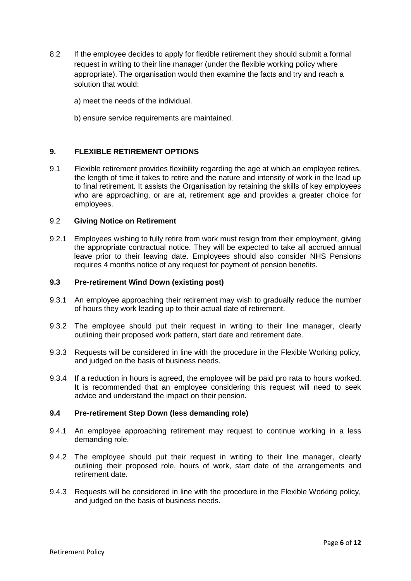- 8.2 If the employee decides to apply for flexible retirement they should submit a formal request in writing to their line manager (under the flexible working policy where appropriate). The organisation would then examine the facts and try and reach a solution that would:
	- a) meet the needs of the individual.
	- b) ensure service requirements are maintained.

## **9. FLEXIBLE RETIREMENT OPTIONS**

9.1 Flexible retirement provides flexibility regarding the age at which an employee retires, the length of time it takes to retire and the nature and intensity of work in the lead up to final retirement. It assists the Organisation by retaining the skills of key employees who are approaching, or are at, retirement age and provides a greater choice for employees.

#### 9.2 **Giving Notice on Retirement**

9.2.1 Employees wishing to fully retire from work must resign from their employment, giving the appropriate contractual notice. They will be expected to take all accrued annual leave prior to their leaving date. Employees should also consider NHS Pensions requires 4 months notice of any request for payment of pension benefits.

#### **9.3 Pre-retirement Wind Down (existing post)**

- 9.3.1 An employee approaching their retirement may wish to gradually reduce the number of hours they work leading up to their actual date of retirement.
- 9.3.2 The employee should put their request in writing to their line manager, clearly outlining their proposed work pattern, start date and retirement date.
- 9.3.3 Requests will be considered in line with the procedure in the Flexible Working policy, and judged on the basis of business needs.
- 9.3.4 If a reduction in hours is agreed, the employee will be paid pro rata to hours worked. It is recommended that an employee considering this request will need to seek advice and understand the impact on their pension.

#### **9.4 Pre-retirement Step Down (less demanding role)**

- 9.4.1 An employee approaching retirement may request to continue working in a less demanding role.
- 9.4.2 The employee should put their request in writing to their line manager, clearly outlining their proposed role, hours of work, start date of the arrangements and retirement date.
- 9.4.3 Requests will be considered in line with the procedure in the Flexible Working policy, and judged on the basis of business needs.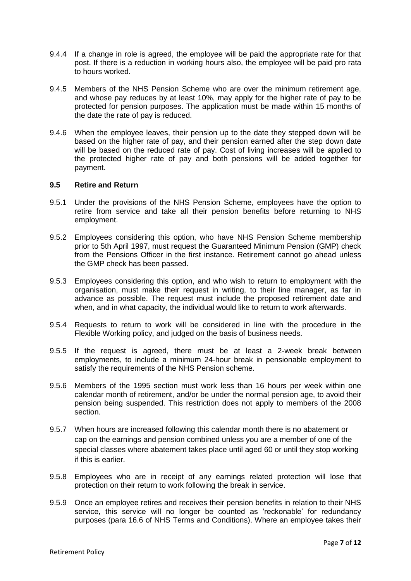- 9.4.4 If a change in role is agreed, the employee will be paid the appropriate rate for that post. If there is a reduction in working hours also, the employee will be paid pro rata to hours worked.
- 9.4.5 Members of the NHS Pension Scheme who are over the minimum retirement age, and whose pay reduces by at least 10%, may apply for the higher rate of pay to be protected for pension purposes. The application must be made within 15 months of the date the rate of pay is reduced.
- 9.4.6 When the employee leaves, their pension up to the date they stepped down will be based on the higher rate of pay, and their pension earned after the step down date will be based on the reduced rate of pay. Cost of living increases will be applied to the protected higher rate of pay and both pensions will be added together for payment.

#### **9.5 Retire and Return**

- 9.5.1 Under the provisions of the NHS Pension Scheme, employees have the option to retire from service and take all their pension benefits before returning to NHS employment.
- 9.5.2 Employees considering this option, who have NHS Pension Scheme membership prior to 5th April 1997, must request the Guaranteed Minimum Pension (GMP) check from the Pensions Officer in the first instance. Retirement cannot go ahead unless the GMP check has been passed.
- 9.5.3 Employees considering this option, and who wish to return to employment with the organisation, must make their request in writing, to their line manager, as far in advance as possible. The request must include the proposed retirement date and when, and in what capacity, the individual would like to return to work afterwards.
- 9.5.4 Requests to return to work will be considered in line with the procedure in the Flexible Working policy, and judged on the basis of business needs.
- 9.5.5 If the request is agreed, there must be at least a 2-week break between employments, to include a minimum 24-hour break in pensionable employment to satisfy the requirements of the NHS Pension scheme.
- 9.5.6 Members of the 1995 section must work less than 16 hours per week within one calendar month of retirement, and/or be under the normal pension age, to avoid their pension being suspended. This restriction does not apply to members of the 2008 section.
- 9.5.7 When hours are increased following this calendar month there is no abatement or cap on the earnings and pension combined unless you are a member of one of the special classes where abatement takes place until aged 60 or until they stop working if this is earlier.
- 9.5.8 Employees who are in receipt of any earnings related protection will lose that protection on their return to work following the break in service.
- 9.5.9 Once an employee retires and receives their pension benefits in relation to their NHS service, this service will no longer be counted as 'reckonable' for redundancy purposes (para 16.6 of NHS Terms and Conditions). Where an employee takes their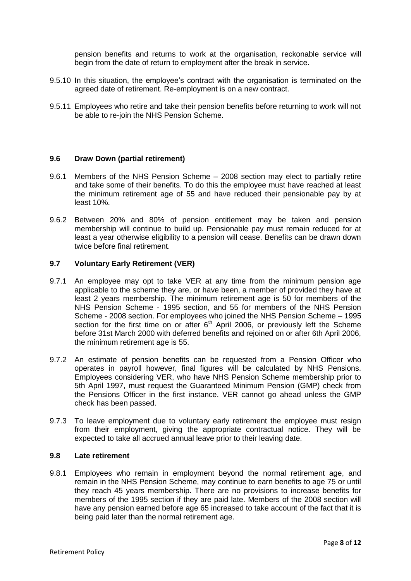pension benefits and returns to work at the organisation, reckonable service will begin from the date of return to employment after the break in service.

- 9.5.10 In this situation, the employee's contract with the organisation is terminated on the agreed date of retirement. Re-employment is on a new contract.
- 9.5.11 Employees who retire and take their pension benefits before returning to work will not be able to re-join the NHS Pension Scheme.

#### **9.6 Draw Down (partial retirement)**

- 9.6.1 Members of the NHS Pension Scheme 2008 section may elect to partially retire and take some of their benefits. To do this the employee must have reached at least the minimum retirement age of 55 and have reduced their pensionable pay by at least 10%.
- 9.6.2 Between 20% and 80% of pension entitlement may be taken and pension membership will continue to build up. Pensionable pay must remain reduced for at least a year otherwise eligibility to a pension will cease. Benefits can be drawn down twice before final retirement.

#### **9.7 Voluntary Early Retirement (VER)**

- 9.7.1 An employee may opt to take VER at any time from the minimum pension age applicable to the scheme they are, or have been, a member of provided they have at least 2 years membership. The minimum retirement age is 50 for members of the NHS Pension Scheme - 1995 section, and 55 for members of the NHS Pension Scheme - 2008 section. For employees who joined the NHS Pension Scheme – 1995 section for the first time on or after  $6<sup>th</sup>$  April 2006, or previously left the Scheme before 31st March 2000 with deferred benefits and rejoined on or after 6th April 2006, the minimum retirement age is 55.
- 9.7.2 An estimate of pension benefits can be requested from a Pension Officer who operates in payroll however, final figures will be calculated by NHS Pensions. Employees considering VER, who have NHS Pension Scheme membership prior to 5th April 1997, must request the Guaranteed Minimum Pension (GMP) check from the Pensions Officer in the first instance. VER cannot go ahead unless the GMP check has been passed.
- 9.7.3 To leave employment due to voluntary early retirement the employee must resign from their employment, giving the appropriate contractual notice. They will be expected to take all accrued annual leave prior to their leaving date.

#### **9.8 Late retirement**

9.8.1 Employees who remain in employment beyond the normal retirement age, and remain in the NHS Pension Scheme, may continue to earn benefits to age 75 or until they reach 45 years membership. There are no provisions to increase benefits for members of the 1995 section if they are paid late. Members of the 2008 section will have any pension earned before age 65 increased to take account of the fact that it is being paid later than the normal retirement age.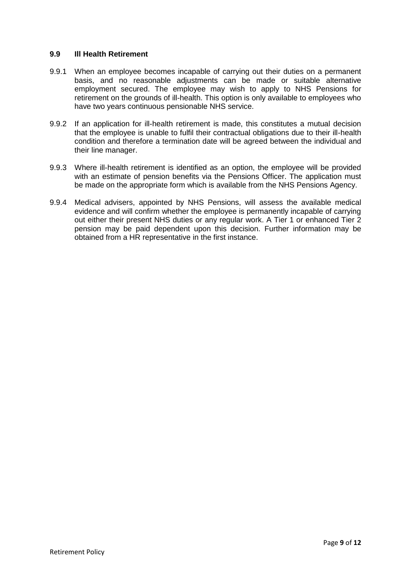#### **9.9 Ill Health Retirement**

- 9.9.1 When an employee becomes incapable of carrying out their duties on a permanent basis, and no reasonable adjustments can be made or suitable alternative employment secured. The employee may wish to apply to NHS Pensions for retirement on the grounds of ill-health. This option is only available to employees who have two years continuous pensionable NHS service.
- 9.9.2 If an application for ill-health retirement is made, this constitutes a mutual decision that the employee is unable to fulfil their contractual obligations due to their ill-health condition and therefore a termination date will be agreed between the individual and their line manager.
- 9.9.3 Where ill-health retirement is identified as an option, the employee will be provided with an estimate of pension benefits via the Pensions Officer. The application must be made on the appropriate form which is available from the NHS Pensions Agency.
- 9.9.4 Medical advisers, appointed by NHS Pensions, will assess the available medical evidence and will confirm whether the employee is permanently incapable of carrying out either their present NHS duties or any regular work. A Tier 1 or enhanced Tier 2 pension may be paid dependent upon this decision. Further information may be obtained from a HR representative in the first instance.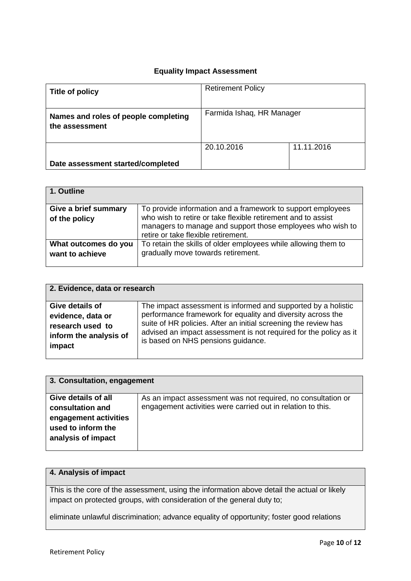## **Equality Impact Assessment**

| <b>Title of policy</b>                                 | <b>Retirement Policy</b>  |            |  |
|--------------------------------------------------------|---------------------------|------------|--|
| Names and roles of people completing<br>the assessment | Farmida Ishaq, HR Manager |            |  |
|                                                        | 20.10.2016                | 11.11.2016 |  |
| Date assessment started/completed                      |                           |            |  |

| 1. Outline                              |                                                                                                                                                                                                                                  |
|-----------------------------------------|----------------------------------------------------------------------------------------------------------------------------------------------------------------------------------------------------------------------------------|
| Give a brief summary<br>of the policy   | To provide information and a framework to support employees<br>who wish to retire or take flexible retirement and to assist<br>managers to manage and support those employees who wish to<br>retire or take flexible retirement. |
| What outcomes do you<br>want to achieve | To retain the skills of older employees while allowing them to<br>gradually move towards retirement.                                                                                                                             |

| 2. Evidence, data or research |                                                                   |  |  |
|-------------------------------|-------------------------------------------------------------------|--|--|
| Give details of               | The impact assessment is informed and supported by a holistic     |  |  |
| evidence, data or             | performance framework for equality and diversity across the       |  |  |
| research used to              | suite of HR policies. After an initial screening the review has   |  |  |
| inform the analysis of        | advised an impact assessment is not required for the policy as it |  |  |
| impact                        | is based on NHS pensions guidance.                                |  |  |

| 3. Consultation, engagement                                       |                                                                                                                             |  |  |
|-------------------------------------------------------------------|-----------------------------------------------------------------------------------------------------------------------------|--|--|
| Give details of all<br>consultation and                           | As an impact assessment was not required, no consultation or<br>engagement activities were carried out in relation to this. |  |  |
| engagement activities<br>used to inform the<br>analysis of impact |                                                                                                                             |  |  |

## **4. Analysis of impact**

This is the core of the assessment, using the information above detail the actual or likely impact on protected groups, with consideration of the general duty to;

eliminate unlawful discrimination; advance equality of opportunity; foster good relations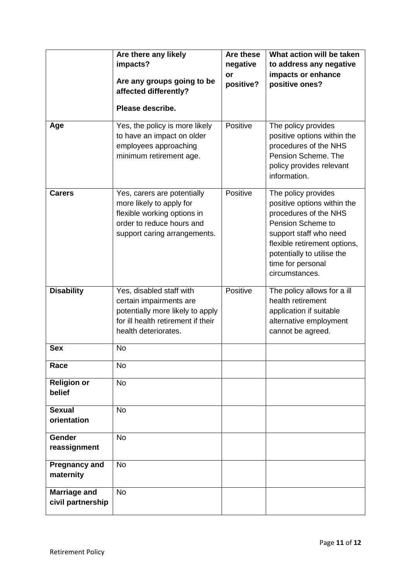|                                          | Are there any likely                                                                                                                                  | Are these | What action will be taken                                                                                                                                                                                                       |
|------------------------------------------|-------------------------------------------------------------------------------------------------------------------------------------------------------|-----------|---------------------------------------------------------------------------------------------------------------------------------------------------------------------------------------------------------------------------------|
|                                          | impacts?                                                                                                                                              | negative  | to address any negative                                                                                                                                                                                                         |
|                                          |                                                                                                                                                       | or        | impacts or enhance                                                                                                                                                                                                              |
|                                          | Are any groups going to be<br>affected differently?                                                                                                   | positive? | positive ones?                                                                                                                                                                                                                  |
|                                          | Please describe.                                                                                                                                      |           |                                                                                                                                                                                                                                 |
| Age                                      | Yes, the policy is more likely<br>to have an impact on older<br>employees approaching<br>minimum retirement age.                                      | Positive  | The policy provides<br>positive options within the<br>procedures of the NHS<br>Pension Scheme. The<br>policy provides relevant<br>information.                                                                                  |
| <b>Carers</b>                            | Yes, carers are potentially<br>more likely to apply for<br>flexible working options in<br>order to reduce hours and<br>support caring arrangements.   | Positive  | The policy provides<br>positive options within the<br>procedures of the NHS<br>Pension Scheme to<br>support staff who need<br>flexible retirement options,<br>potentially to utilise the<br>time for personal<br>circumstances. |
| <b>Disability</b>                        | Yes, disabled staff with<br>certain impairments are<br>potentially more likely to apply<br>for ill health retirement if their<br>health deteriorates. | Positive  | The policy allows for a ill<br>health retirement<br>application if suitable<br>alternative employment<br>cannot be agreed.                                                                                                      |
| <b>Sex</b>                               | <b>No</b>                                                                                                                                             |           |                                                                                                                                                                                                                                 |
| Race                                     | <b>No</b>                                                                                                                                             |           |                                                                                                                                                                                                                                 |
| <b>Religion or</b><br>belief             | <b>No</b>                                                                                                                                             |           |                                                                                                                                                                                                                                 |
| <b>Sexual</b><br>orientation             | <b>No</b>                                                                                                                                             |           |                                                                                                                                                                                                                                 |
| Gender<br>reassignment                   | <b>No</b>                                                                                                                                             |           |                                                                                                                                                                                                                                 |
| <b>Pregnancy and</b><br>maternity        | <b>No</b>                                                                                                                                             |           |                                                                                                                                                                                                                                 |
| <b>Marriage and</b><br>civil partnership | <b>No</b>                                                                                                                                             |           |                                                                                                                                                                                                                                 |